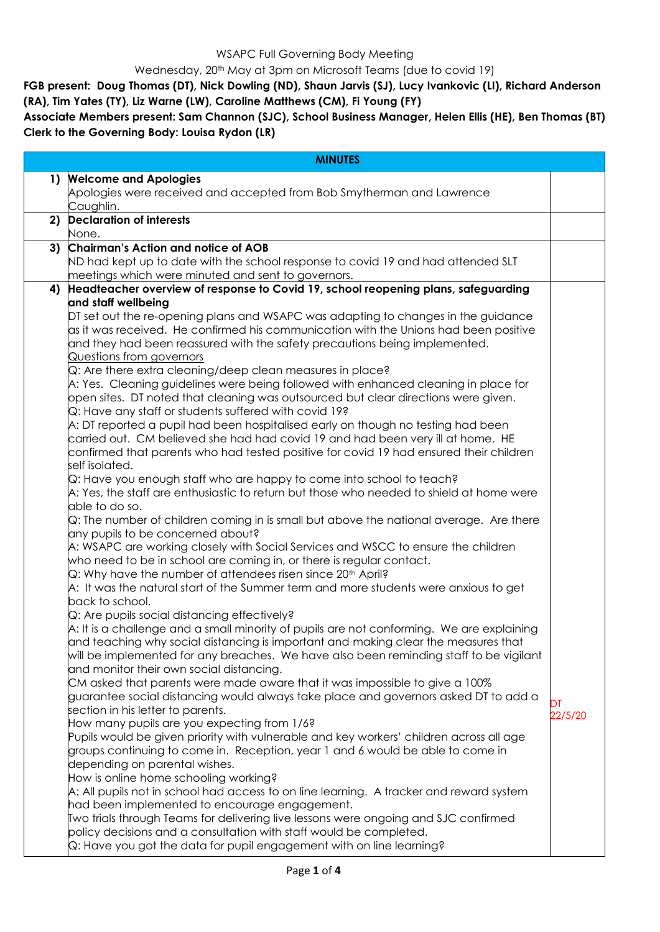WSAPC Full Governing Body Meeting

Wednesday, 20<sup>th</sup> May at 3pm on Microsoft Teams (due to covid 19)

**FGB present: Doug Thomas (DT), Nick Dowling (ND), Shaun Jarvis (SJ), Lucy Ivankovic (LI), Richard Anderson (RA), Tim Yates (TY), Liz Warne (LW), Caroline Matthews (CM), Fi Young (FY)**

**Associate Members present: Sam Channon (SJC), School Business Manager, Helen Ellis (HE), Ben Thomas (BT) Clerk to the Governing Body: Louisa Rydon (LR)**

|              | <b>MINUTES</b>                                                                                                          |         |
|--------------|-------------------------------------------------------------------------------------------------------------------------|---------|
| $\mathbf{1}$ | <b>Welcome and Apologies</b>                                                                                            |         |
|              | Apologies were received and accepted from Bob Smytherman and Lawrence<br>Caughlin.                                      |         |
| 2)           | <b>Declaration of interests</b>                                                                                         |         |
|              | None.                                                                                                                   |         |
| 3)           | Chairman's Action and notice of AOB                                                                                     |         |
|              | ND had kept up to date with the school response to covid 19 and had attended SLT                                        |         |
|              | meetings which were minuted and sent to governors.                                                                      |         |
| 4)           | Headteacher overview of response to Covid 19, school reopening plans, safeguarding                                      |         |
|              | and staff wellbeing                                                                                                     |         |
|              | DT set out the re-opening plans and WSAPC was adapting to changes in the guidance                                       |         |
|              | as it was received. He confirmed his communication with the Unions had been positive                                    |         |
|              | and they had been reassured with the safety precautions being implemented.<br>Questions from governors                  |         |
|              | Q: Are there extra cleaning/deep clean measures in place?                                                               |         |
|              | A: Yes. Cleaning guidelines were being followed with enhanced cleaning in place for                                     |         |
|              | open sites. DT noted that cleaning was outsourced but clear directions were given.                                      |         |
|              | Q: Have any staff or students suffered with covid 19?                                                                   |         |
|              | A: DT reported a pupil had been hospitalised early on though no testing had been                                        |         |
|              | carried out. CM believed she had had covid 19 and had been very ill at home. HE                                         |         |
|              | confirmed that parents who had tested positive for covid 19 had ensured their children                                  |         |
|              | self isolated.                                                                                                          |         |
|              | Q: Have you enough staff who are happy to come into school to teach?                                                    |         |
|              | A: Yes, the staff are enthusiastic to return but those who needed to shield at home were                                |         |
|              | able to do so.<br>Q: The number of children coming in is small but above the national average. Are there                |         |
|              | any pupils to be concerned about?                                                                                       |         |
|              | A: WSAPC are working closely with Social Services and WSCC to ensure the children                                       |         |
|              | who need to be in school are coming in, or there is regular contact.                                                    |         |
|              | $Q$ : Why have the number of attendees risen since 20th April?                                                          |         |
|              | A: It was the natural start of the Summer term and more students were anxious to get                                    |         |
|              | back to school.                                                                                                         |         |
|              | Q: Are pupils social distancing effectively?                                                                            |         |
|              | A: It is a challenge and a small minority of pupils are not conforming. We are explaining                               |         |
|              | and teaching why social distancing is important and making clear the measures that                                      |         |
|              | will be implemented for any breaches. We have also been reminding staff to be vigilant                                  |         |
|              | and monitor their own social distancing.<br>CM asked that parents were made aware that it was impossible to give a 100% |         |
|              | guarantee social distancing would always take place and governors asked DT to add a                                     |         |
|              | section in his letter to parents.                                                                                       | DT      |
|              | How many pupils are you expecting from 1/6?                                                                             | 22/5/20 |
|              | Pupils would be given priority with vulnerable and key workers' children across all age                                 |         |
|              | groups continuing to come in. Reception, year 1 and 6 would be able to come in                                          |         |
|              | depending on parental wishes.                                                                                           |         |
|              | How is online home schooling working?                                                                                   |         |
|              | A: All pupils not in school had access to on line learning. A tracker and reward system                                 |         |
|              | had been implemented to encourage engagement.                                                                           |         |
|              | Two trials through Teams for delivering live lessons were ongoing and SJC confirmed                                     |         |
|              | policy decisions and a consultation with staff would be completed.                                                      |         |
|              | Q: Have you got the data for pupil engagement with on line learning?                                                    |         |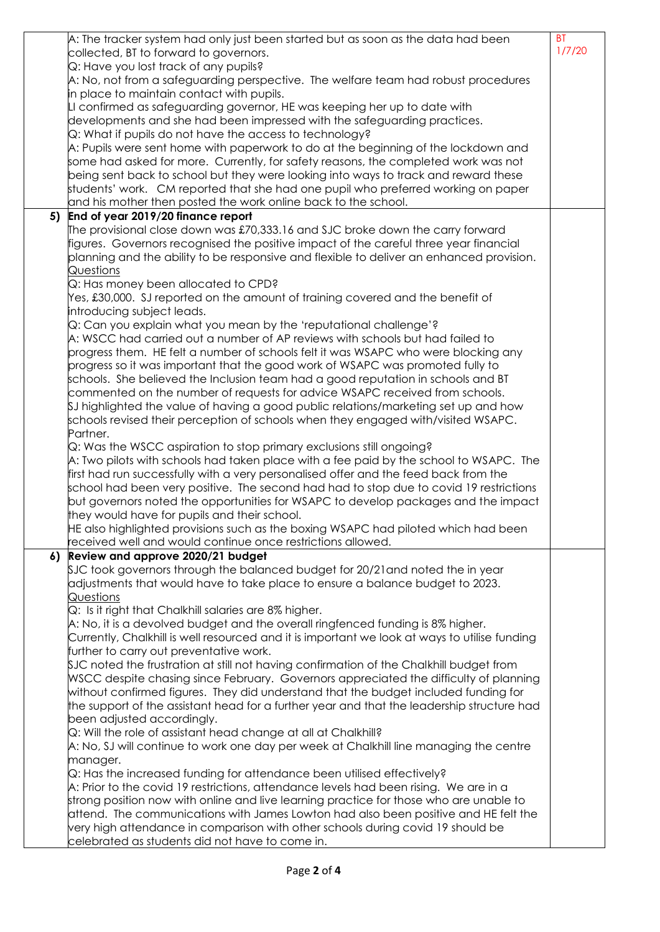|    | $\mathsf A\mathpunct{:}$ The tracker system had only just been started but as soon as the data had been             | <b>BT</b> |
|----|---------------------------------------------------------------------------------------------------------------------|-----------|
|    | collected, BT to forward to governors.                                                                              | 1/7/20    |
|    | Q: Have you lost track of any pupils?                                                                               |           |
|    | A: No, not from a safeguarding perspective. The welfare team had robust procedures                                  |           |
|    | in place to maintain contact with pupils.                                                                           |           |
|    | LI confirmed as safeguarding governor, HE was keeping her up to date with                                           |           |
|    | developments and she had been impressed with the safeguarding practices.                                            |           |
|    | Q: What if pupils do not have the access to technology?                                                             |           |
|    | A: Pupils were sent home with paperwork to do at the beginning of the lockdown and                                  |           |
|    | some had asked for more. Currently, for safety reasons, the completed work was not                                  |           |
|    | being sent back to school but they were looking into ways to track and reward these                                 |           |
|    | students' work. CM reported that she had one pupil who preferred working on paper                                   |           |
|    | and his mother then posted the work online back to the school.                                                      |           |
| 5) | End of year 2019/20 finance report                                                                                  |           |
|    | The provisional close down was £70,333.16 and SJC broke down the carry forward                                      |           |
|    | figures. Governors recognised the positive impact of the careful three year financial                               |           |
|    | planning and the ability to be responsive and flexible to deliver an enhanced provision.                            |           |
|    | Questions                                                                                                           |           |
|    | Q: Has money been allocated to CPD?                                                                                 |           |
|    | Yes, £30,000. SJ reported on the amount of training covered and the benefit of                                      |           |
|    | introducing subject leads.                                                                                          |           |
|    | Q: Can you explain what you mean by the 'reputational challenge'?                                                   |           |
|    | A: WSCC had carried out a number of AP reviews with schools but had failed to                                       |           |
|    | progress them. HE felt a number of schools felt it was WSAPC who were blocking any                                  |           |
|    | progress so it was important that the good work of WSAPC was promoted fully to                                      |           |
|    | $\,$ schools. She believed the Inclusion team had a good reputation in schools and BT                               |           |
|    | commented on the number of requests for advice WSAPC received from schools.                                         |           |
|    | $$J$ highlighted the value of having a good public relations/marketing set up and how                               |           |
|    | schools revised their perception of schools when they engaged with/visited WSAPC.                                   |           |
|    | Partner.                                                                                                            |           |
|    | $\Omega$ : Was the WSCC aspiration to stop primary exclusions still ongoing?                                        |           |
|    | $\mathsf A$ : Two pilots with schools had taken place with a fee paid by the school to WSAPC. The                   |           |
|    | first had run successfully with a very personalised offer and the feed back from the                                |           |
|    | school had been very positive. The second had had to stop due to covid 19 restrictions                              |           |
|    | but governors noted the opportunities for WSAPC to develop packages and the impact                                  |           |
|    | they would have for pupils and their school.                                                                        |           |
|    | HE also highlighted provisions such as the boxing WSAPC had piloted which had been                                  |           |
|    | received well and would continue once restrictions allowed.                                                         |           |
| 6) | Review and approve 2020/21 budget                                                                                   |           |
|    | \$JC took governors through the balanced budget for 20/21 and noted the in year                                     |           |
|    | adjustments that would have to take place to ensure a balance budget to 2023.                                       |           |
|    | <u>Questions</u>                                                                                                    |           |
|    | Q: Is it right that Chalkhill salaries are 8% higher.                                                               |           |
|    | A: No, it is a devolved budget and the overall ringfenced funding is 8% higher.                                     |           |
|    | Currently, Chalkhill is well resourced and it is important we look at ways to utilise funding                       |           |
|    | further to carry out preventative work.                                                                             |           |
|    | \$JC noted the frustration at still not having confirmation of the Chalkhill budget from                            |           |
|    | WSCC despite chasing since February. Governors appreciated the difficulty of planning                               |           |
|    | without confirmed figures. They did understand that the budget included funding for                                 |           |
|    | the support of the assistant head for a further year and that the leadership structure had                          |           |
|    | been adjusted accordingly.                                                                                          |           |
|    | $\mathsf{Q}$ : Will the role of assistant head change at all at Chalkhill?                                          |           |
|    | A: No, SJ will continue to work one day per week at Chalkhill line managing the centre                              |           |
|    |                                                                                                                     |           |
|    | manager.                                                                                                            |           |
|    | $\mathsf Q$ : Has the increased funding for attendance been utilised effectively?                                   |           |
|    | $\mathsf A\mathpunct{:}\mathsf{Prior}$ to the covid 19 restrictions, attendance levels had been rising. We are in a |           |
|    | strong position now with online and live learning practice for those who are unable to                              |           |
|    | attend. The communications with James Lowton had also been positive and HE felt the                                 |           |
|    | very high attendance in comparison with other schools during covid 19 should be                                     |           |
|    | celebrated as students did not have to come in.                                                                     |           |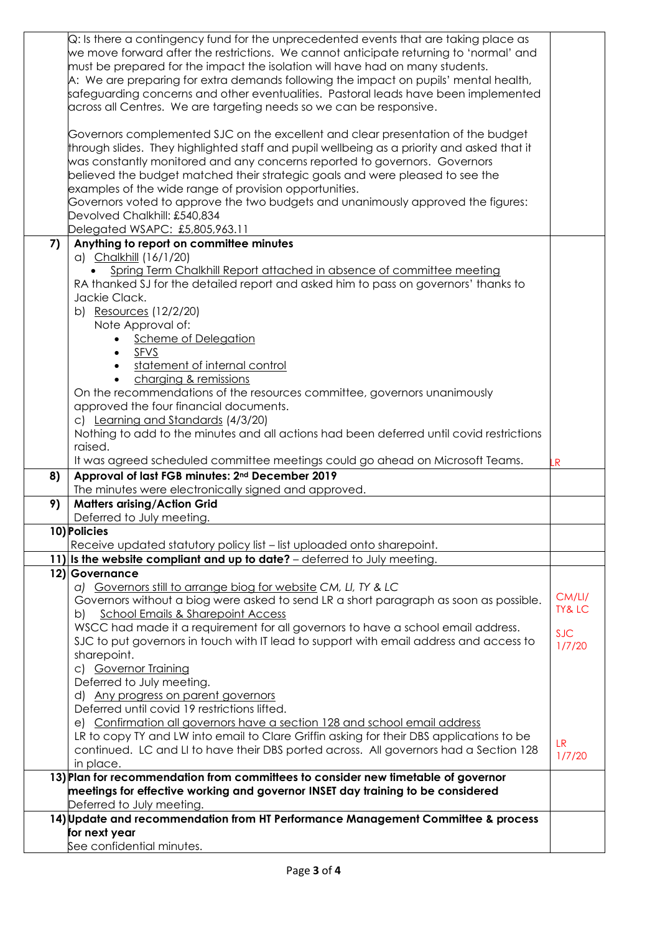|    | Q: Is there a contingency fund for the unprecedented events that are taking place as                                                                                     |                   |
|----|--------------------------------------------------------------------------------------------------------------------------------------------------------------------------|-------------------|
|    | we move forward after the restrictions. We cannot anticipate returning to 'normal' and                                                                                   |                   |
|    | must be prepared for the impact the isolation will have had on many students.                                                                                            |                   |
|    | A: We are preparing for extra demands following the impact on pupils' mental health,                                                                                     |                   |
|    | safeguarding concerns and other eventualities. Pastoral leads have been implemented                                                                                      |                   |
|    | $\alpha$ across all Centres. We are targeting needs so we can be responsive.                                                                                             |                   |
|    |                                                                                                                                                                          |                   |
|    | Governors complemented SJC on the excellent and clear presentation of the budget                                                                                         |                   |
|    | through slides. They highlighted staff and pupil wellbeing as a priority and asked that it<br>was constantly monitored and any concerns reported to governors. Governors |                   |
|    | believed the budget matched their strategic goals and were pleased to see the                                                                                            |                   |
|    | examples of the wide range of provision opportunities.                                                                                                                   |                   |
|    | Governors voted to approve the two budgets and unanimously approved the figures:                                                                                         |                   |
|    | Devolved Chalkhill: £540,834                                                                                                                                             |                   |
|    | Delegated WSAPC: £5,805,963.11                                                                                                                                           |                   |
| 7) | Anything to report on committee minutes                                                                                                                                  |                   |
|    | a) Chalkhill (16/1/20)                                                                                                                                                   |                   |
|    | Spring Term Chalkhill Report attached in absence of committee meeting                                                                                                    |                   |
|    | RA thanked SJ for the detailed report and asked him to pass on governors' thanks to                                                                                      |                   |
|    | Jackie Clack.                                                                                                                                                            |                   |
|    | b) Resources (12/2/20)                                                                                                                                                   |                   |
|    | Note Approval of:                                                                                                                                                        |                   |
|    | Scheme of Delegation                                                                                                                                                     |                   |
|    | SFVS<br>$\bullet$                                                                                                                                                        |                   |
|    | statement of internal control<br>$\bullet$                                                                                                                               |                   |
|    | charging & remissions                                                                                                                                                    |                   |
|    | On the recommendations of the resources committee, governors unanimously                                                                                                 |                   |
|    | approved the four financial documents.                                                                                                                                   |                   |
|    | c) Learning and Standards (4/3/20)                                                                                                                                       |                   |
|    | Nothing to add to the minutes and all actions had been deferred until covid restrictions                                                                                 |                   |
|    | raised.                                                                                                                                                                  |                   |
|    | It was agreed scheduled committee meetings could go ahead on Microsoft Teams.                                                                                            |                   |
|    |                                                                                                                                                                          | R                 |
| 8) | Approval of last FGB minutes: 2 <sup>nd</sup> December 2019                                                                                                              |                   |
|    | The minutes were electronically signed and approved.                                                                                                                     |                   |
| 9) | <b>Matters arising/Action Grid</b>                                                                                                                                       |                   |
|    | Deferred to July meeting.                                                                                                                                                |                   |
|    | 10) Policies                                                                                                                                                             |                   |
|    | Receive updated statutory policy list - list uploaded onto sharepoint.                                                                                                   |                   |
|    | 11) is the website compliant and up to date? $-$ deferred to July meeting.                                                                                               |                   |
|    | 12) Governance                                                                                                                                                           |                   |
|    | a) Governors still to arrange biog for website CM, LI, TY & LC                                                                                                           | CM/LI/            |
|    | Governors without a biog were asked to send LR a short paragraph as soon as possible.                                                                                    | <b>TY&amp; LC</b> |
|    | School Emails & Sharepoint Access<br>b)                                                                                                                                  |                   |
|    | WSCC had made it a requirement for all governors to have a school email address.                                                                                         | <b>SJC</b>        |
|    | SJC to put governors in touch with IT lead to support with email address and access to                                                                                   | 1/7/20            |
|    | sharepoint.                                                                                                                                                              |                   |
|    | c) Governor Training<br>Deferred to July meeting.                                                                                                                        |                   |
|    | d) Any progress on parent governors                                                                                                                                      |                   |
|    | Deferred until covid 19 restrictions lifted.                                                                                                                             |                   |
|    | e) Confirmation all governors have a section 128 and school email address                                                                                                |                   |
|    | LR to copy TY and LW into email to Clare Griffin asking for their DBS applications to be                                                                                 |                   |
|    | continued. LC and LI to have their DBS ported across. All governors had a Section 128                                                                                    | <b>LR</b>         |
|    | in place.                                                                                                                                                                | 1/7/20            |
|    | 13) Plan for recommendation from committees to consider new timetable of governor                                                                                        |                   |
|    | meetings for effective working and governor INSET day training to be considered                                                                                          |                   |
|    | Deferred to July meeting.                                                                                                                                                |                   |
|    | 14) Update and recommendation from HT Performance Management Committee & process                                                                                         |                   |
|    | for next year<br>See confidential minutes.                                                                                                                               |                   |